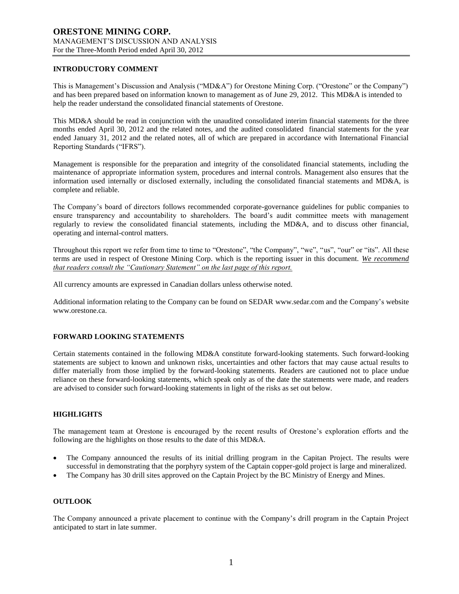### **INTRODUCTORY COMMENT**

This is Management's Discussion and Analysis ("MD&A") for Orestone Mining Corp. ("Orestone" or the Company") and has been prepared based on information known to management as of June 29, 2012. This MD&A is intended to help the reader understand the consolidated financial statements of Orestone.

This MD&A should be read in conjunction with the unaudited consolidated interim financial statements for the three months ended April 30, 2012 and the related notes, and the audited consolidated financial statements for the year ended January 31, 2012 and the related notes, all of which are prepared in accordance with International Financial Reporting Standards ("IFRS").

Management is responsible for the preparation and integrity of the consolidated financial statements, including the maintenance of appropriate information system, procedures and internal controls. Management also ensures that the information used internally or disclosed externally, including the consolidated financial statements and MD&A, is complete and reliable.

The Company's board of directors follows recommended corporate-governance guidelines for public companies to ensure transparency and accountability to shareholders. The board's audit committee meets with management regularly to review the consolidated financial statements, including the MD&A, and to discuss other financial, operating and internal-control matters.

Throughout this report we refer from time to time to "Orestone", "the Company", "we", "us", "our" or "its". All these terms are used in respect of Orestone Mining Corp. which is the reporting issuer in this document. *We recommend that readers consult the "Cautionary Statement" on the last page of this report.*

All currency amounts are expressed in Canadian dollars unless otherwise noted.

Additional information relating to the Company can be found on SEDAR www.sedar.com and the Company's website www.orestone.ca.

# **FORWARD LOOKING STATEMENTS**

Certain statements contained in the following MD&A constitute forward-looking statements. Such forward-looking statements are subject to known and unknown risks, uncertainties and other factors that may cause actual results to differ materially from those implied by the forward-looking statements. Readers are cautioned not to place undue reliance on these forward-looking statements, which speak only as of the date the statements were made, and readers are advised to consider such forward-looking statements in light of the risks as set out below.

# **HIGHLIGHTS**

The management team at Orestone is encouraged by the recent results of Orestone's exploration efforts and the following are the highlights on those results to the date of this MD&A.

- The Company announced the results of its initial drilling program in the Capitan Project. The results were successful in demonstrating that the porphyry system of the Captain copper-gold project is large and mineralized.
- The Company has 30 drill sites approved on the Captain Project by the BC Ministry of Energy and Mines.

#### **OUTLOOK**

The Company announced a private placement to continue with the Company's drill program in the Captain Project anticipated to start in late summer.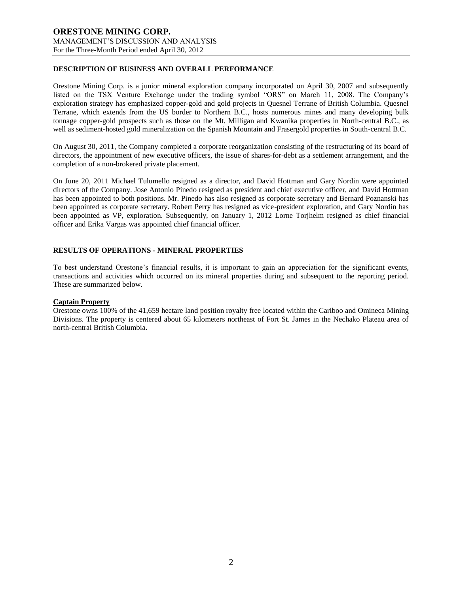# **DESCRIPTION OF BUSINESS AND OVERALL PERFORMANCE**

Orestone Mining Corp. is a junior mineral exploration company incorporated on April 30, 2007 and subsequently listed on the TSX Venture Exchange under the trading symbol "ORS" on March 11, 2008. The Company's exploration strategy has emphasized copper-gold and gold projects in Quesnel Terrane of British Columbia. Quesnel Terrane, which extends from the US border to Northern B.C., hosts numerous mines and many developing bulk tonnage copper-gold prospects such as those on the Mt. Milligan and Kwanika properties in North-central B.C., as well as sediment-hosted gold mineralization on the Spanish Mountain and Frasergold properties in South-central B.C.

On August 30, 2011, the Company completed a corporate reorganization consisting of the restructuring of its board of directors, the appointment of new executive officers, the issue of shares-for-debt as a settlement arrangement, and the completion of a non-brokered private placement.

On June 20, 2011 Michael Tulumello resigned as a director, and David Hottman and Gary Nordin were appointed directors of the Company. Jose Antonio Pinedo resigned as president and chief executive officer, and David Hottman has been appointed to both positions. Mr. Pinedo has also resigned as corporate secretary and Bernard Poznanski has been appointed as corporate secretary. Robert Perry has resigned as vice-president exploration, and Gary Nordin has been appointed as VP, exploration. Subsequently, on January 1, 2012 Lorne Torjhelm resigned as chief financial officer and Erika Vargas was appointed chief financial officer.

# **RESULTS OF OPERATIONS - MINERAL PROPERTIES**

To best understand Orestone's financial results, it is important to gain an appreciation for the significant events, transactions and activities which occurred on its mineral properties during and subsequent to the reporting period. These are summarized below.

# **Captain Property**

Orestone owns 100% of the 41,659 hectare land position royalty free located within the Cariboo and Omineca Mining Divisions. The property is centered about 65 kilometers northeast of Fort St. James in the Nechako Plateau area of north-central British Columbia.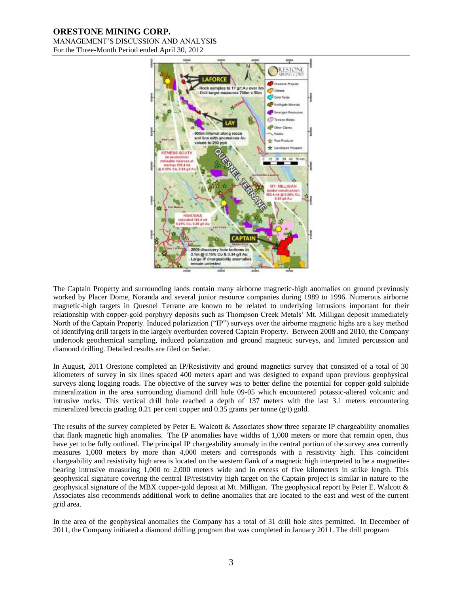# **ORESTONE MINING CORP.**

MANAGEMENT'S DISCUSSION AND ANALYSIS For the Three-Month Period ended April 30, 2012



The Captain Property and surrounding lands contain many airborne magnetic-high anomalies on ground previously worked by Placer Dome, Noranda and several junior resource companies during 1989 to 1996. Numerous airborne magnetic-high targets in Quesnel Terrane are known to be related to underlying intrusions important for their relationship with copper-gold porphyry deposits such as Thompson Creek Metals' Mt. Milligan deposit immediately North of the Captain Property. Induced polarization ("IP") surveys over the airborne magnetic highs are a key method of identifying drill targets in the largely overburden covered Captain Property. Between 2008 and 2010, the Company undertook geochemical sampling, induced polarization and ground magnetic surveys, and limited percussion and diamond drilling. Detailed results are filed on Sedar.

In August, 2011 Orestone completed an IP/Resistivity and ground magnetics survey that consisted of a total of 30 kilometers of survey in six lines spaced 400 meters apart and was designed to expand upon previous geophysical surveys along logging roads. The objective of the survey was to better define the potential for copper-gold sulphide mineralization in the area surrounding diamond drill hole 09-05 which encountered potassic-altered volcanic and intrusive rocks. This vertical drill hole reached a depth of 137 meters with the last 3.1 meters encountering mineralized breccia grading 0.21 per cent copper and 0.35 grams per tonne ( $g/t$ ) gold.

The results of the survey completed by Peter E. Walcott & Associates show three separate IP chargeability anomalies that flank magnetic high anomalies. The IP anomalies have widths of 1,000 meters or more that remain open, thus have yet to be fully outlined. The principal IP chargeability anomaly in the central portion of the survey area currently measures 1,000 meters by more than 4,000 meters and corresponds with a resistivity high. This coincident chargeability and resistivity high area is located on the western flank of a magnetic high interpreted to be a magnetitebearing intrusive measuring 1,000 to 2,000 meters wide and in excess of five kilometers in strike length. This geophysical signature covering the central IP/resistivity high target on the Captain project is similar in nature to the geophysical signature of the MBX copper-gold deposit at Mt. Milligan. The geophysical report by Peter E. Walcott & Associates also recommends additional work to define anomalies that are located to the east and west of the current grid area.

In the area of the geophysical anomalies the Company has a total of 31 drill hole sites permitted. In December of 2011, the Company initiated a diamond drilling program that was completed in January 2011. The drill program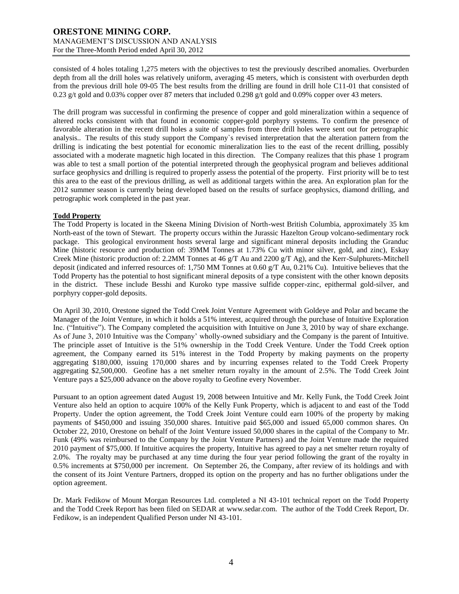consisted of 4 holes totaling 1,275 meters with the objectives to test the previously described anomalies. Overburden depth from all the drill holes was relatively uniform, averaging 45 meters, which is consistent with overburden depth from the previous drill hole 09-05 The best results from the drilling are found in drill hole C11-01 that consisted of 0.23 g/t gold and 0.03% copper over 87 meters that included 0.298 g/t gold and 0.09% copper over 43 meters.

The drill program was successful in confirming the presence of copper and gold mineralization within a sequence of altered rocks consistent with that found in economic copper-gold porphyry systems. To confirm the presence of favorable alteration in the recent drill holes a suite of samples from three drill holes were sent out for petrographic analysis.. The results of this study support the Company`s revised interpretation that the alteration pattern from the drilling is indicating the best potential for economic mineralization lies to the east of the recent drilling, possibly associated with a moderate magnetic high located in this direction. The Company realizes that this phase 1 program was able to test a small portion of the potential interpreted through the geophysical program and believes additional surface geophysics and drilling is required to properly assess the potential of the property. First priority will be to test this area to the east of the previous drilling, as well as additional targets within the area. An exploration plan for the 2012 summer season is currently being developed based on the results of surface geophysics, diamond drilling, and petrographic work completed in the past year.

### **Todd Property**

The Todd Property is located in the Skeena Mining Division of North-west British Columbia, approximately 35 km North-east of the town of Stewart. The property occurs within the Jurassic Hazelton Group volcano-sedimentary rock package. This geological environment hosts several large and significant mineral deposits including the Granduc Mine (historic resource and production of: 39MM Tonnes at 1.73% Cu with minor silver, gold, and zinc), Eskay Creek Mine (historic production of: 2.2MM Tonnes at 46 g/T Au and 2200 g/T Ag), and the Kerr-Sulphurets-Mitchell deposit (indicated and inferred resources of: 1,750 MM Tonnes at 0.60 g/T Au, 0.21% Cu). Intuitive believes that the Todd Property has the potential to host significant mineral deposits of a type consistent with the other known deposits in the district. These include Besshi and Kuroko type massive sulfide copper-zinc, epithermal gold-silver, and porphyry copper-gold deposits.

On April 30, 2010, Orestone signed the Todd Creek Joint Venture Agreement with Goldeye and Polar and became the Manager of the Joint Venture, in which it holds a 51% interest, acquired through the purchase of Intuitive Exploration Inc. ("Intuitive"). The Company completed the acquisition with Intuitive on June 3, 2010 by way of share exchange. As of June 3, 2010 Intuitive was the Company' wholly-owned subsidiary and the Company is the parent of Intuitive. The principle asset of Intuitive is the 51% ownership in the Todd Creek Venture. Under the Todd Creek option agreement, the Company earned its 51% interest in the Todd Property by making payments on the property aggregating \$180,000, issuing 170,000 shares and by incurring expenses related to the Todd Creek Property aggregating \$2,500,000. Geofine has a net smelter return royalty in the amount of 2.5%. The Todd Creek Joint Venture pays a \$25,000 advance on the above royalty to Geofine every November.

Pursuant to an option agreement dated August 19, 2008 between Intuitive and Mr. Kelly Funk, the Todd Creek Joint Venture also held an option to acquire 100% of the Kelly Funk Property, which is adjacent to and east of the Todd Property. Under the option agreement, the Todd Creek Joint Venture could earn 100% of the property by making payments of \$450,000 and issuing 350,000 shares. Intuitive paid \$65,000 and issued 65,000 common shares. On October 22, 2010, Orestone on behalf of the Joint Venture issued 50,000 shares in the capital of the Company to Mr. Funk (49% was reimbursed to the Company by the Joint Venture Partners) and the Joint Venture made the required 2010 payment of \$75,000. If Intuitive acquires the property, Intuitive has agreed to pay a net smelter return royalty of 2.0%. The royalty may be purchased at any time during the four year period following the grant of the royalty in 0.5% increments at \$750,000 per increment. On September 26, the Company, after review of its holdings and with the consent of its Joint Venture Partners, dropped its option on the property and has no further obligations under the option agreement.

Dr. Mark Fedikow of Mount Morgan Resources Ltd. completed a NI 43-101 technical report on the Todd Property and the Todd Creek Report has been filed on SEDAR at [www.sedar.com.](http://www.sedar.com/) The author of the Todd Creek Report, Dr. Fedikow, is an independent Qualified Person under NI 43-101.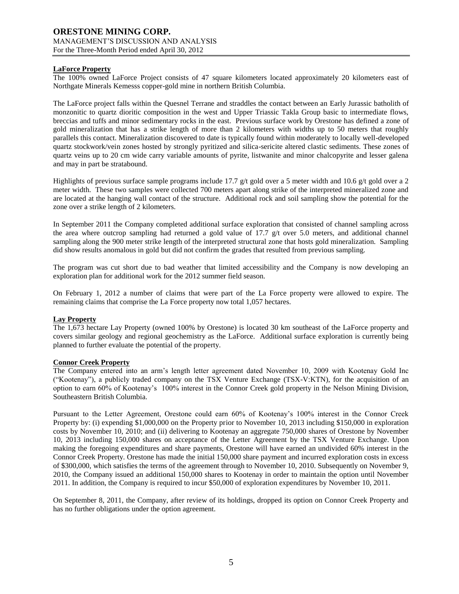# **LaForce Property**

The 100% owned LaForce Project consists of 47 square kilometers located approximately 20 kilometers east of Northgate Minerals Kemesss copper-gold mine in northern British Columbia.

The LaForce project falls within the Quesnel Terrane and straddles the contact between an Early Jurassic batholith of monzonitic to quartz dioritic composition in the west and Upper Triassic Takla Group basic to intermediate flows, breccias and tuffs and minor sedimentary rocks in the east. Previous surface work by Orestone has defined a zone of gold mineralization that has a strike length of more than 2 kilometers with widths up to 50 meters that roughly parallels this contact. Mineralization discovered to date is typically found within moderately to locally well-developed quartz stockwork/vein zones hosted by strongly pyritized and silica-sericite altered clastic sediments. These zones of quartz veins up to 20 cm wide carry variable amounts of pyrite, listwanite and minor chalcopyrite and lesser galena and may in part be stratabound.

Highlights of previous surface sample programs include 17.7 g/t gold over a 5 meter width and 10.6 g/t gold over a 2 meter width. These two samples were collected 700 meters apart along strike of the interpreted mineralized zone and are located at the hanging wall contact of the structure. Additional rock and soil sampling show the potential for the zone over a strike length of 2 kilometers.

In September 2011 the Company completed additional surface exploration that consisted of channel sampling across the area where outcrop sampling had returned a gold value of 17.7  $g/t$  over 5.0 meters, and additional channel sampling along the 900 meter strike length of the interpreted structural zone that hosts gold mineralization. Sampling did show results anomalous in gold but did not confirm the grades that resulted from previous sampling.

The program was cut short due to bad weather that limited accessibility and the Company is now developing an exploration plan for additional work for the 2012 summer field season.

On February 1, 2012 a number of claims that were part of the La Force property were allowed to expire. The remaining claims that comprise the La Force property now total 1,057 hectares.

#### **Lay Property**

The 1,673 hectare Lay Property (owned 100% by Orestone) is located 30 km southeast of the LaForce property and covers similar geology and regional geochemistry as the LaForce. Additional surface exploration is currently being planned to further evaluate the potential of the property.

### **Connor Creek Property**

The Company entered into an arm's length letter agreement dated November 10, 2009 with Kootenay Gold Inc ("Kootenay"), a publicly traded company on the TSX Venture Exchange (TSX-V:KTN), for the acquisition of an option to earn 60% of Kootenay's 100% interest in the Connor Creek gold property in the Nelson Mining Division, Southeastern British Columbia.

Pursuant to the Letter Agreement, Orestone could earn 60% of Kootenay's 100% interest in the Connor Creek Property by: (i) expending \$1,000,000 on the Property prior to November 10, 2013 including \$150,000 in exploration costs by November 10, 2010; and (ii) delivering to Kootenay an aggregate 750,000 shares of Orestone by November 10, 2013 including 150,000 shares on acceptance of the Letter Agreement by the TSX Venture Exchange. Upon making the foregoing expenditures and share payments, Orestone will have earned an undivided 60% interest in the Connor Creek Property. Orestone has made the initial 150,000 share payment and incurred exploration costs in excess of \$300,000, which satisfies the terms of the agreement through to November 10, 2010. Subsequently on November 9, 2010, the Company issued an additional 150,000 shares to Kootenay in order to maintain the option until November 2011. In addition, the Company is required to incur \$50,000 of exploration expenditures by November 10, 2011.

On September 8, 2011, the Company, after review of its holdings, dropped its option on Connor Creek Property and has no further obligations under the option agreement.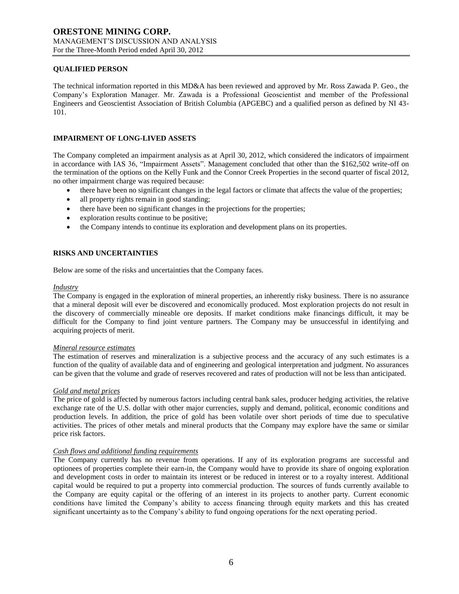### **QUALIFIED PERSON**

The technical information reported in this MD&A has been reviewed and approved by Mr. Ross Zawada P. Geo., the Company's Exploration Manager. Mr. Zawada is a Professional Geoscientist and member of the Professional Engineers and Geoscientist Association of British Columbia (APGEBC) and a qualified person as defined by NI 43- 101.

### **IMPAIRMENT OF LONG-LIVED ASSETS**

The Company completed an impairment analysis as at April 30, 2012, which considered the indicators of impairment in accordance with IAS 36, "Impairment Assets". Management concluded that other than the \$162,502 write-off on the termination of the options on the Kelly Funk and the Connor Creek Properties in the second quarter of fiscal 2012, no other impairment charge was required because:

- there have been no significant changes in the legal factors or climate that affects the value of the properties;
- all property rights remain in good standing;
- there have been no significant changes in the projections for the properties;
- exploration results continue to be positive;
- the Company intends to continue its exploration and development plans on its properties.

### **RISKS AND UNCERTAINTIES**

Below are some of the risks and uncertainties that the Company faces.

#### *Industry*

The Company is engaged in the exploration of mineral properties, an inherently risky business. There is no assurance that a mineral deposit will ever be discovered and economically produced. Most exploration projects do not result in the discovery of commercially mineable ore deposits. If market conditions make financings difficult, it may be difficult for the Company to find joint venture partners. The Company may be unsuccessful in identifying and acquiring projects of merit.

#### *Mineral resource estimates*

The estimation of reserves and mineralization is a subjective process and the accuracy of any such estimates is a function of the quality of available data and of engineering and geological interpretation and judgment. No assurances can be given that the volume and grade of reserves recovered and rates of production will not be less than anticipated.

#### *Gold and metal prices*

The price of gold is affected by numerous factors including central bank sales, producer hedging activities, the relative exchange rate of the U.S. dollar with other major currencies, supply and demand, political, economic conditions and production levels. In addition, the price of gold has been volatile over short periods of time due to speculative activities. The prices of other metals and mineral products that the Company may explore have the same or similar price risk factors.

#### *Cash flows and additional funding requirements*

The Company currently has no revenue from operations. If any of its exploration programs are successful and optionees of properties complete their earn-in, the Company would have to provide its share of ongoing exploration and development costs in order to maintain its interest or be reduced in interest or to a royalty interest. Additional capital would be required to put a property into commercial production. The sources of funds currently available to the Company are equity capital or the offering of an interest in its projects to another party. Current economic conditions have limited the Company's ability to access financing through equity markets and this has created significant uncertainty as to the Company's ability to fund ongoing operations for the next operating period.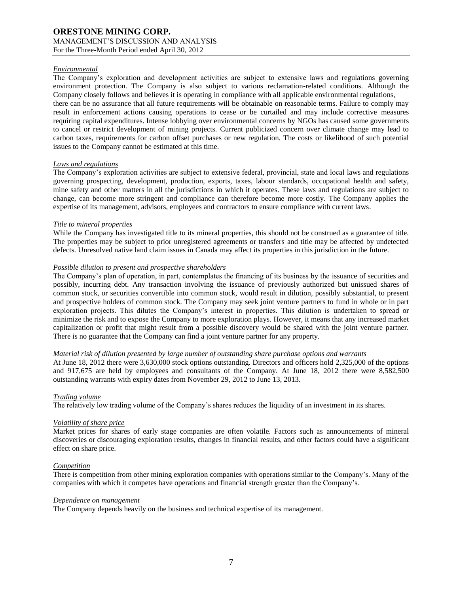### *Environmental*

The Company's exploration and development activities are subject to extensive laws and regulations governing environment protection. The Company is also subject to various reclamation-related conditions. Although the Company closely follows and believes it is operating in compliance with all applicable environmental regulations, there can be no assurance that all future requirements will be obtainable on reasonable terms. Failure to comply may result in enforcement actions causing operations to cease or be curtailed and may include corrective measures requiring capital expenditures. Intense lobbying over environmental concerns by NGOs has caused some governments to cancel or restrict development of mining projects. Current publicized concern over climate change may lead to carbon taxes, requirements for carbon offset purchases or new regulation. The costs or likelihood of such potential issues to the Company cannot be estimated at this time.

#### *Laws and regulations*

The Company's exploration activities are subject to extensive federal, provincial, state and local laws and regulations governing prospecting, development, production, exports, taxes, labour standards, occupational health and safety, mine safety and other matters in all the jurisdictions in which it operates. These laws and regulations are subject to change, can become more stringent and compliance can therefore become more costly. The Company applies the expertise of its management, advisors, employees and contractors to ensure compliance with current laws.

### *Title to mineral properties*

While the Company has investigated title to its mineral properties, this should not be construed as a guarantee of title. The properties may be subject to prior unregistered agreements or transfers and title may be affected by undetected defects. Unresolved native land claim issues in Canada may affect its properties in this jurisdiction in the future.

### *Possible dilution to present and prospective shareholders*

The Company's plan of operation, in part, contemplates the financing of its business by the issuance of securities and possibly, incurring debt. Any transaction involving the issuance of previously authorized but unissued shares of common stock, or securities convertible into common stock, would result in dilution, possibly substantial, to present and prospective holders of common stock. The Company may seek joint venture partners to fund in whole or in part exploration projects. This dilutes the Company's interest in properties. This dilution is undertaken to spread or minimize the risk and to expose the Company to more exploration plays. However, it means that any increased market capitalization or profit that might result from a possible discovery would be shared with the joint venture partner. There is no guarantee that the Company can find a joint venture partner for any property.

#### *Material risk of dilution presented by large number of outstanding share purchase options and warrants*

At June 18, 2012 there were 3,630,000 stock options outstanding. Directors and officers hold 2,325,000 of the options and 917,675 are held by employees and consultants of the Company. At June 18, 2012 there were 8,582,500 outstanding warrants with expiry dates from November 29, 2012 to June 13, 2013.

#### *Trading volume*

The relatively low trading volume of the Company's shares reduces the liquidity of an investment in its shares.

#### *Volatility of share price*

Market prices for shares of early stage companies are often volatile. Factors such as announcements of mineral discoveries or discouraging exploration results, changes in financial results, and other factors could have a significant effect on share price.

### *Competition*

There is competition from other mining exploration companies with operations similar to the Company's. Many of the companies with which it competes have operations and financial strength greater than the Company's.

#### *Dependence on management*

The Company depends heavily on the business and technical expertise of its management.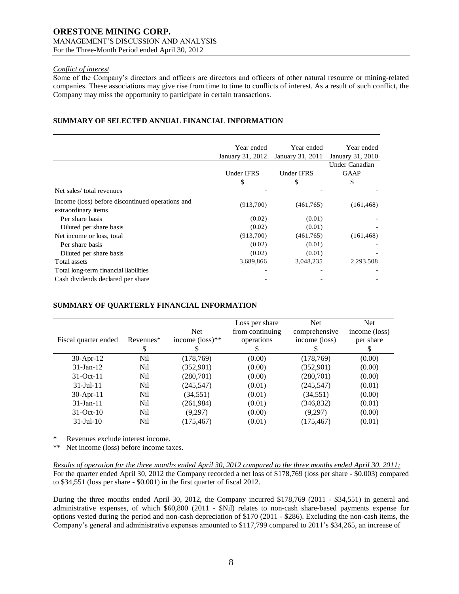### *Conflict of interest*

Some of the Company's directors and officers are directors and officers of other natural resource or mining-related companies. These associations may give rise from time to time to conflicts of interest. As a result of such conflict, the Company may miss the opportunity to participate in certain transactions.

# **SUMMARY OF SELECTED ANNUAL FINANCIAL INFORMATION**

|                                                                         | Year ended        | Year ended       | Year ended       |
|-------------------------------------------------------------------------|-------------------|------------------|------------------|
|                                                                         | January 31, 2012  | January 31, 2011 | January 31, 2010 |
|                                                                         |                   |                  | Under Canadian   |
|                                                                         | <b>Under IFRS</b> | Under IFRS       | <b>GAAP</b>      |
|                                                                         | \$                | \$               | \$               |
| Net sales/total revenues                                                |                   |                  |                  |
| Income (loss) before discontinued operations and<br>extraordinary items | (913,700)         | (461,765)        | (161, 468)       |
| Per share basis                                                         | (0.02)            | (0.01)           |                  |
| Diluted per share basis                                                 | (0.02)            | (0.01)           |                  |
| Net income or loss, total                                               | (913,700)         | (461,765)        | (161, 468)       |
| Per share basis                                                         | (0.02)            | (0.01)           |                  |
| Diluted per share basis                                                 | (0.02)            | (0.01)           |                  |
| Total assets                                                            | 3,689,866         | 3,048,235        | 2,293,508        |
| Total long-term financial liabilities                                   |                   |                  |                  |
| Cash dividends declared per share                                       |                   |                  |                  |

# **SUMMARY OF QUARTERLY FINANCIAL INFORMATION**

|                      |           |                             | Loss per share  | <b>Net</b>    | Net           |
|----------------------|-----------|-----------------------------|-----------------|---------------|---------------|
|                      |           | <b>Net</b>                  | from continuing | comprehensive | income (loss) |
| Fiscal quarter ended | Revenues* | income $(\text{loss})^{**}$ | operations      | income (loss) | per share     |
|                      | S         |                             | S               |               |               |
| $30-Apr-12$          | Nil       | (178, 769)                  | (0.00)          | (178, 769)    | (0.00)        |
| $31$ -Jan-12         | Nil       | (352, 901)                  | (0.00)          | (352, 901)    | (0.00)        |
| $31-Oct-11$          | Nil       | (280,701)                   | (0.00)          | (280,701)     | (0.00)        |
| $31 -$ Jul $-11$     | Nil       | (245, 547)                  | (0.01)          | (245, 547)    | (0.01)        |
| $30$ -Apr-11         | Nil       | (34, 551)                   | (0.01)          | (34, 551)     | (0.00)        |
| $31$ -Jan-11         | Nil       | (261,984)                   | (0.01)          | (346, 832)    | (0.01)        |
| $31-Oct-10$          | Nil       | (9,297)                     | (0.00)          | (9,297)       | (0.00)        |
| $31$ -Jul- $10$      | Nil       | (175, 467)                  | (0.01)          | (175, 467)    | (0.01)        |

\* Revenues exclude interest income.

\*\* Net income (loss) before income taxes.

*Results of operation for the three months ended April 30, 2012 compared to the three months ended April 30, 2011:* For the quarter ended April 30, 2012 the Company recorded a net loss of \$178,769 (loss per share - \$0.003) compared to \$34,551 (loss per share - \$0.001) in the first quarter of fiscal 2012.

During the three months ended April 30, 2012, the Company incurred \$178,769 (2011 - \$34,551) in general and administrative expenses, of which \$60,800 (2011 - \$Nil) relates to non-cash share-based payments expense for options vested during the period and non-cash depreciation of \$170 (2011 - \$286). Excluding the non-cash items, the Company's general and administrative expenses amounted to \$117,799 compared to 2011's \$34,265, an increase of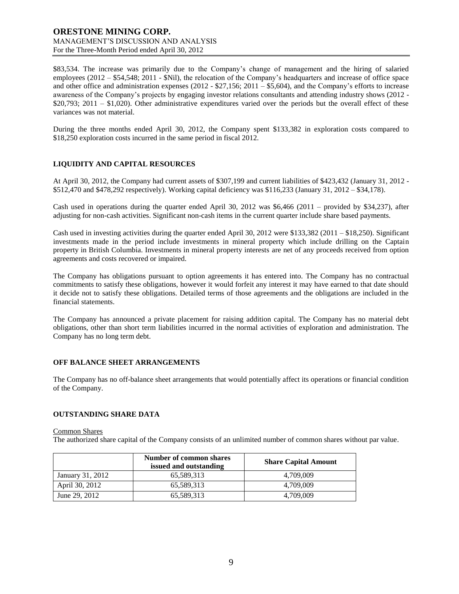\$83,534. The increase was primarily due to the Company's change of management and the hiring of salaried employees (2012 – \$54,548; 2011 - \$Nil), the relocation of the Company's headquarters and increase of office space and other office and administration expenses (2012 - \$27,156; 2011 – \$5,604), and the Company's efforts to increase awareness of the Company's projects by engaging investor relations consultants and attending industry shows (2012 - \$20,793; 2011 – \$1,020). Other administrative expenditures varied over the periods but the overall effect of these variances was not material.

During the three months ended April 30, 2012, the Company spent \$133,382 in exploration costs compared to \$18,250 exploration costs incurred in the same period in fiscal 2012.

# **LIQUIDITY AND CAPITAL RESOURCES**

At April 30, 2012, the Company had current assets of \$307,199 and current liabilities of \$423,432 (January 31, 2012 - \$512,470 and \$478,292 respectively). Working capital deficiency was \$116,233 (January 31, 2012 – \$34,178).

Cash used in operations during the quarter ended April 30, 2012 was  $$6,466$  (2011 – provided by \$34,237), after adjusting for non-cash activities. Significant non-cash items in the current quarter include share based payments.

Cash used in investing activities during the quarter ended April 30, 2012 were \$133,382 (2011 – \$18,250). Significant investments made in the period include investments in mineral property which include drilling on the Captain property in British Columbia. Investments in mineral property interests are net of any proceeds received from option agreements and costs recovered or impaired.

The Company has obligations pursuant to option agreements it has entered into. The Company has no contractual commitments to satisfy these obligations, however it would forfeit any interest it may have earned to that date should it decide not to satisfy these obligations. Detailed terms of those agreements and the obligations are included in the financial statements.

The Company has announced a private placement for raising addition capital. The Company has no material debt obligations, other than short term liabilities incurred in the normal activities of exploration and administration. The Company has no long term debt.

#### **OFF BALANCE SHEET ARRANGEMENTS**

The Company has no off-balance sheet arrangements that would potentially affect its operations or financial condition of the Company.

#### **OUTSTANDING SHARE DATA**

Common Shares

The authorized share capital of the Company consists of an unlimited number of common shares without par value.

|                  | Number of common shares<br>issued and outstanding | <b>Share Capital Amount</b> |  |
|------------------|---------------------------------------------------|-----------------------------|--|
| January 31, 2012 | 65.589.313                                        | 4.709.009                   |  |
| April 30, 2012   | 65.589.313                                        | 4.709.009                   |  |
| June 29, 2012    | 65,589,313                                        | 4.709.009                   |  |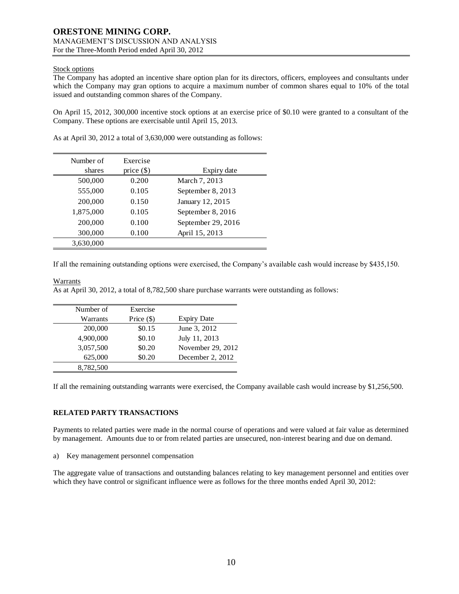### Stock options

The Company has adopted an incentive share option plan for its directors, officers, employees and consultants under which the Company may gran options to acquire a maximum number of common shares equal to 10% of the total issued and outstanding common shares of the Company.

On April 15, 2012, 300,000 incentive stock options at an exercise price of \$0.10 were granted to a consultant of the Company. These options are exercisable until April 15, 2013.

| Number of<br>shares | Exercise<br>price $(\$)$ | Expiry date        |
|---------------------|--------------------------|--------------------|
| 500,000             | 0.200                    | March 7, 2013      |
| 555,000             | 0.105                    | September 8, 2013  |
| 200,000             | 0.150                    | January 12, 2015   |
| 1,875,000           | 0.105                    | September 8, 2016  |
| 200,000             | 0.100                    | September 29, 2016 |
| 300,000             | 0.100                    | April 15, 2013     |
| 3,630,000           |                          |                    |

As at April 30, 2012 a total of 3,630,000 were outstanding as follows:

If all the remaining outstanding options were exercised, the Company's available cash would increase by \$435,150.

### Warrants

As at April 30, 2012, a total of 8,782,500 share purchase warrants were outstanding as follows:

| Number of | Exercise     |                    |
|-----------|--------------|--------------------|
| Warrants  | Price $(\$)$ | <b>Expiry Date</b> |
| 200,000   | \$0.15       | June 3, 2012       |
| 4,900,000 | \$0.10       | July 11, 2013      |
| 3,057,500 | \$0.20       | November 29, 2012  |
| 625,000   | \$0.20       | December 2, 2012   |
| 8,782,500 |              |                    |

If all the remaining outstanding warrants were exercised, the Company available cash would increase by \$1,256,500.

# **RELATED PARTY TRANSACTIONS**

Payments to related parties were made in the normal course of operations and were valued at fair value as determined by management. Amounts due to or from related parties are unsecured, non-interest bearing and due on demand.

a) Key management personnel compensation

The aggregate value of transactions and outstanding balances relating to key management personnel and entities over which they have control or significant influence were as follows for the three months ended April 30, 2012: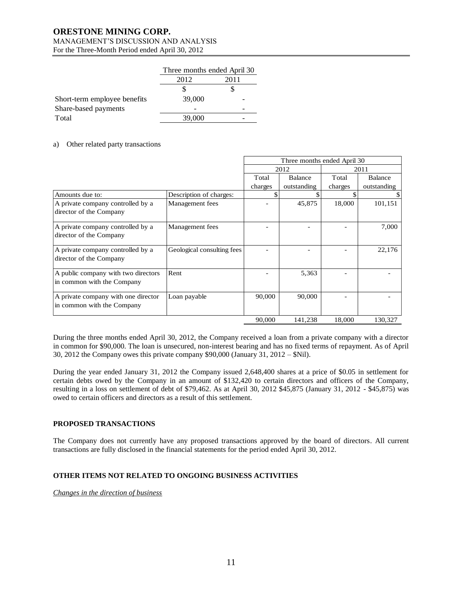# **ORESTONE MINING CORP.**

### MANAGEMENT'S DISCUSSION AND ANALYSIS For the Three-Month Period ended April 30, 2012

|                              | Three months ended April 30 |      |  |
|------------------------------|-----------------------------|------|--|
|                              | 2012                        | 2011 |  |
|                              |                             |      |  |
| Short-term employee benefits | 39,000                      |      |  |
| Share-based payments         |                             |      |  |
| Total                        | 39,000                      |      |  |

### a) Other related party transactions

|                                                                   |                            | Three months ended April 30 |                |         |                |
|-------------------------------------------------------------------|----------------------------|-----------------------------|----------------|---------|----------------|
|                                                                   |                            | 2012                        |                | 2011    |                |
|                                                                   |                            | Total                       | <b>Balance</b> | Total   | <b>Balance</b> |
|                                                                   |                            | charges                     | outstanding    | charges | outstanding    |
| Amounts due to:                                                   | Description of charges:    |                             |                |         |                |
| A private company controlled by a<br>director of the Company      | Management fees            |                             | 45,875         | 18,000  | 101,151        |
| A private company controlled by a<br>director of the Company      | Management fees            |                             |                |         | 7,000          |
| A private company controlled by a<br>director of the Company      | Geological consulting fees |                             |                |         | 22,176         |
| A public company with two directors<br>in common with the Company | Rent                       |                             | 5,363          |         |                |
| A private company with one director<br>in common with the Company | Loan payable               | 90,000                      | 90,000         |         |                |
|                                                                   |                            | 90,000                      | 141,238        | 18,000  | 130,327        |

During the three months ended April 30, 2012, the Company received a loan from a private company with a director in common for \$90,000. The loan is unsecured, non-interest bearing and has no fixed terms of repayment. As of April 30, 2012 the Company owes this private company \$90,000 (January 31, 2012 – \$Nil).

During the year ended January 31, 2012 the Company issued 2,648,400 shares at a price of \$0.05 in settlement for certain debts owed by the Company in an amount of \$132,420 to certain directors and officers of the Company, resulting in a loss on settlement of debt of \$79,462. As at April 30, 2012 \$45,875 (January 31, 2012 - \$45,875) was owed to certain officers and directors as a result of this settlement.

# **PROPOSED TRANSACTIONS**

The Company does not currently have any proposed transactions approved by the board of directors. All current transactions are fully disclosed in the financial statements for the period ended April 30, 2012.

# **OTHER ITEMS NOT RELATED TO ONGOING BUSINESS ACTIVITIES**

*Changes in the direction of business*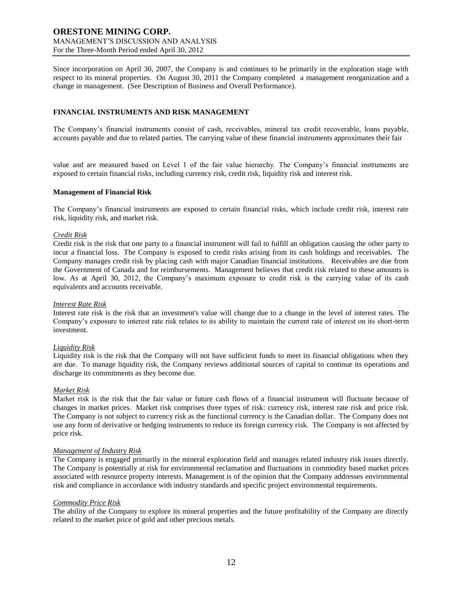Since incorporation on April 30, 2007, the Company is and continues to be primarily in the exploration stage with respect to its mineral properties. On August 30, 2011 the Company completed a management reorganization and a change in management. (See Description of Business and Overall Performance).

# **FINANCIAL INSTRUMENTS AND RISK MANAGEMENT**

The Company's financial instruments consist of cash, receivables, mineral tax credit recoverable, loans payable, accounts payable and due to related parties. The carrying value of these financial instruments approximates their fair

value and are measured based on Level 1 of the fair value hierarchy. The Company's financial instruments are exposed to certain financial risks, including currency risk, credit risk, liquidity risk and interest risk.

#### **Management of Financial Risk**

The Company's financial instruments are exposed to certain financial risks, which include credit risk, interest rate risk, liquidity risk, and market risk.

### *Credit Risk*

Credit risk is the risk that one party to a financial instrument will fail to fulfill an obligation causing the other party to incur a financial loss. The Company is exposed to credit risks arising from its cash holdings and receivables. The Company manages credit risk by placing cash with major Canadian financial institutions. Receivables are due from the Government of Canada and for reimbursements. Management believes that credit risk related to these amounts is low. As at April 30, 2012, the Company's maximum exposure to credit risk is the carrying value of its cash equivalents and accounts receivable.

#### *Interest Rate Risk*

Interest rate risk is the risk that an investment's value will change due to a change in the level of interest rates. The Company's exposure to interest rate risk relates to its ability to maintain the current rate of interest on its short-term investment.

#### *Liquidity Risk*

Liquidity risk is the risk that the Company will not have sufficient funds to meet its financial obligations when they are due. To manage liquidity risk, the Company reviews additional sources of capital to continue its operations and discharge its commitments as they become due.

#### *Market Risk*

Market risk is the risk that the fair value or future cash flows of a financial instrument will fluctuate because of changes in market prices. Market risk comprises three types of risk: currency risk, interest rate risk and price risk. The Company is not subject to currency risk as the functional currency is the Canadian dollar. The Company does not use any form of derivative or hedging instruments to reduce its foreign currency risk. The Company is not affected by price risk.

#### *Management of Industry Risk*

The Company is engaged primarily in the mineral exploration field and manages related industry risk issues directly. The Company is potentially at risk for environmental reclamation and fluctuations in commodity based market prices associated with resource property interests. Management is of the opinion that the Company addresses environmental risk and compliance in accordance with industry standards and specific project environmental requirements.

### *Commodity Price Risk*

The ability of the Company to explore its mineral properties and the future profitability of the Company are directly related to the market price of gold and other precious metals.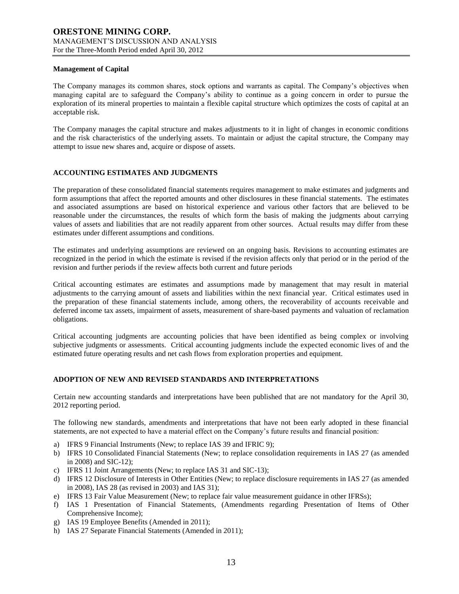#### **Management of Capital**

The Company manages its common shares, stock options and warrants as capital. The Company's objectives when managing capital are to safeguard the Company's ability to continue as a going concern in order to pursue the exploration of its mineral properties to maintain a flexible capital structure which optimizes the costs of capital at an acceptable risk.

The Company manages the capital structure and makes adjustments to it in light of changes in economic conditions and the risk characteristics of the underlying assets. To maintain or adjust the capital structure, the Company may attempt to issue new shares and, acquire or dispose of assets.

# **ACCOUNTING ESTIMATES AND JUDGMENTS**

The preparation of these consolidated financial statements requires management to make estimates and judgments and form assumptions that affect the reported amounts and other disclosures in these financial statements. The estimates and associated assumptions are based on historical experience and various other factors that are believed to be reasonable under the circumstances, the results of which form the basis of making the judgments about carrying values of assets and liabilities that are not readily apparent from other sources. Actual results may differ from these estimates under different assumptions and conditions.

The estimates and underlying assumptions are reviewed on an ongoing basis. Revisions to accounting estimates are recognized in the period in which the estimate is revised if the revision affects only that period or in the period of the revision and further periods if the review affects both current and future periods

Critical accounting estimates are estimates and assumptions made by management that may result in material adjustments to the carrying amount of assets and liabilities within the next financial year. Critical estimates used in the preparation of these financial statements include, among others, the recoverability of accounts receivable and deferred income tax assets, impairment of assets, measurement of share-based payments and valuation of reclamation obligations.

Critical accounting judgments are accounting policies that have been identified as being complex or involving subjective judgments or assessments. Critical accounting judgments include the expected economic lives of and the estimated future operating results and net cash flows from exploration properties and equipment.

# **ADOPTION OF NEW AND REVISED STANDARDS AND INTERPRETATIONS**

Certain new accounting standards and interpretations have been published that are not mandatory for the April 30, 2012 reporting period.

The following new standards, amendments and interpretations that have not been early adopted in these financial statements, are not expected to have a material effect on the Company's future results and financial position:

- a) IFRS 9 Financial Instruments (New; to replace IAS 39 and IFRIC 9);
- b) IFRS 10 Consolidated Financial Statements (New; to replace consolidation requirements in IAS 27 (as amended in 2008) and SIC-12);
- c) IFRS 11 Joint Arrangements (New; to replace IAS 31 and SIC-13);
- d) IFRS 12 Disclosure of Interests in Other Entities (New; to replace disclosure requirements in IAS 27 (as amended in 2008), IAS 28 (as revised in 2003) and IAS 31);
- e) IFRS 13 Fair Value Measurement (New; to replace fair value measurement guidance in other IFRSs);
- f) IAS 1 Presentation of Financial Statements, (Amendments regarding Presentation of Items of Other Comprehensive Income);
- g) IAS 19 Employee Benefits (Amended in 2011);
- h) IAS 27 Separate Financial Statements (Amended in 2011);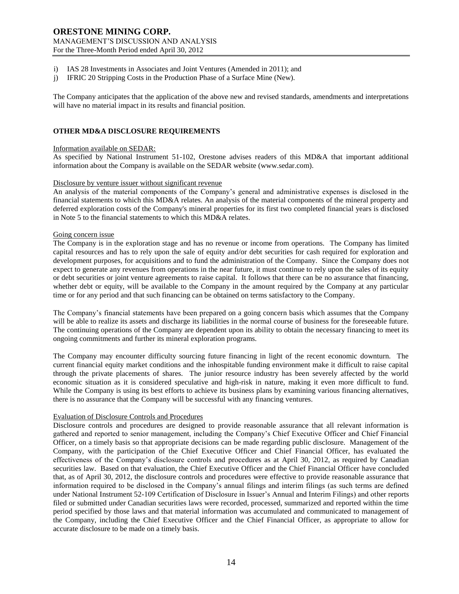- i) IAS 28 Investments in Associates and Joint Ventures (Amended in 2011); and
- j) IFRIC 20 Stripping Costs in the Production Phase of a Surface Mine (New).

The Company anticipates that the application of the above new and revised standards, amendments and interpretations will have no material impact in its results and financial position.

# **OTHER MD&A DISCLOSURE REQUIREMENTS**

#### Information available on SEDAR:

As specified by National Instrument 51-102, Orestone advises readers of this MD&A that important additional information about the Company is available on the SEDAR website (www.sedar.com).

### Disclosure by venture issuer without significant revenue

An analysis of the material components of the Company's general and administrative expenses is disclosed in the financial statements to which this MD&A relates. An analysis of the material components of the mineral property and deferred exploration costs of the Company's mineral properties for its first two completed financial years is disclosed in Note 5 to the financial statements to which this MD&A relates.

#### Going concern issue

The Company is in the exploration stage and has no revenue or income from operations. The Company has limited capital resources and has to rely upon the sale of equity and/or debt securities for cash required for exploration and development purposes, for acquisitions and to fund the administration of the Company. Since the Company does not expect to generate any revenues from operations in the near future, it must continue to rely upon the sales of its equity or debt securities or joint venture agreements to raise capital. It follows that there can be no assurance that financing, whether debt or equity, will be available to the Company in the amount required by the Company at any particular time or for any period and that such financing can be obtained on terms satisfactory to the Company.

The Company's financial statements have been prepared on a going concern basis which assumes that the Company will be able to realize its assets and discharge its liabilities in the normal course of business for the foreseeable future. The continuing operations of the Company are dependent upon its ability to obtain the necessary financing to meet its ongoing commitments and further its mineral exploration programs.

The Company may encounter difficulty sourcing future financing in light of the recent economic downturn. The current financial equity market conditions and the inhospitable funding environment make it difficult to raise capital through the private placements of shares. The junior resource industry has been severely affected by the world economic situation as it is considered speculative and high-risk in nature, making it even more difficult to fund. While the Company is using its best efforts to achieve its business plans by examining various financing alternatives, there is no assurance that the Company will be successful with any financing ventures.

### Evaluation of Disclosure Controls and Procedures

Disclosure controls and procedures are designed to provide reasonable assurance that all relevant information is gathered and reported to senior management, including the Company's Chief Executive Officer and Chief Financial Officer, on a timely basis so that appropriate decisions can be made regarding public disclosure. Management of the Company, with the participation of the Chief Executive Officer and Chief Financial Officer, has evaluated the effectiveness of the Company's disclosure controls and procedures as at April 30, 2012, as required by Canadian securities law. Based on that evaluation, the Chief Executive Officer and the Chief Financial Officer have concluded that, as of April 30, 2012, the disclosure controls and procedures were effective to provide reasonable assurance that information required to be disclosed in the Company's annual filings and interim filings (as such terms are defined under National Instrument 52-109 Certification of Disclosure in Issuer's Annual and Interim Filings) and other reports filed or submitted under Canadian securities laws were recorded, processed, summarized and reported within the time period specified by those laws and that material information was accumulated and communicated to management of the Company, including the Chief Executive Officer and the Chief Financial Officer, as appropriate to allow for accurate disclosure to be made on a timely basis.